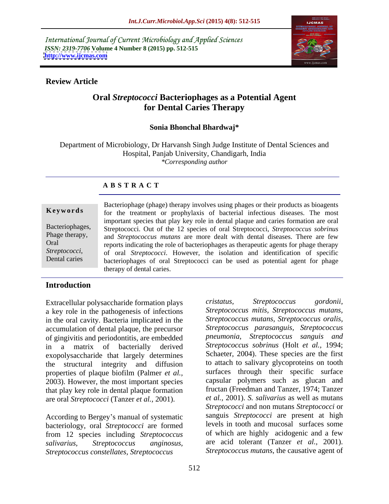International Journal of Current Microbiology and Applied Sciences *ISSN: 2319-7706* **Volume 4 Number 8 (2015) pp. 512-515 <http://www.ijcmas.com>**



#### **Review Article**

### **Oral** *Streptococci* **Bacteriophages as a Potential Agent for Dental Caries Therapy**

#### **Sonia Bhonchal Bhardwaj\***

Department of Microbiology, Dr Harvansh Singh Judge Institute of Dental Sciences and Hospital, Panjab University, Chandigarh, India *\*Corresponding author*

### **A B S T R A C T**

*Streptococci*, Dental caries

Bacteriophage (phage) therapy involves using phages or their products as bioagents **Keywords** for the treatment or prophylaxis of bacterial infectious diseases. The most important species that play key role in dental plaque and caries formation are oral Streptococci. Out of the 12 species of oral Streptococci, *Streptococcus sobrinus* Bacteriophages, Phage therapy, and *Streptococcus mutans* are more dealt with dental diseases. There are few Oral reports indicating the role of bacteriophages as therapeutic agents for phage therapy of oral *Streptococci*. However, the isolation and identification of specific bacteriophages of oral Streptococci can be used as potential agent for phage therapy of dental caries.

### **Introduction**

Extracellular polysaccharide formation plays cristatus, Streptococcus gordonii, a key role in the pathogenesis of infections in the oral cavity. Bacteria implicated in the accumulation of dental plaque, the precursor of gingivitis and periodontitis, are embedded exopolysaccharide that largely determines the structural integrity and diffusion properties of plaque biofilm (Palmer *et al.,* 2003). However, the most important species that play key role in dental plaque formation are oral *Streptococci* (Tanzer *et al.,* 2001).

According to Bergey's manual of systematic bacteriology, oral *Streptococci* are formed from 12 species including *Streptococcus Streptococcus constellates, Streptococcus*

in a matrix of bacterially derived *Streptococcus sobrinus* (Holt *et al.,* 1994; *salivarius, Streptococcus anginosus,* are acid tolerant (Tanzer *et al.,* 2001). *cristatus, Streptococcus gordonii, Streptococcus mitis, Streptococcus mutans, Streptococcus mutans, Streptococcus oralis, Streptococcus parasanguis, Streptococcus pneumonia, Streptococcus sanguis and* Schaeter, 2004). These species are the first to attach to salivary glycoproteins on tooth surfaces through their specific surface capsular polymers such as glucan and fructan (Freedman and Tanzer, 1974; Tanzer *et al.,* 2001). *S. salivarius* as well as mutans *Streptococci* and non mutans *Streptococci* or sanguis *Streptococci* are present at high levels in tooth and mucosal surfaces some of which are highly acidogenic and a few *Streptococcus mutans*, the causative agent of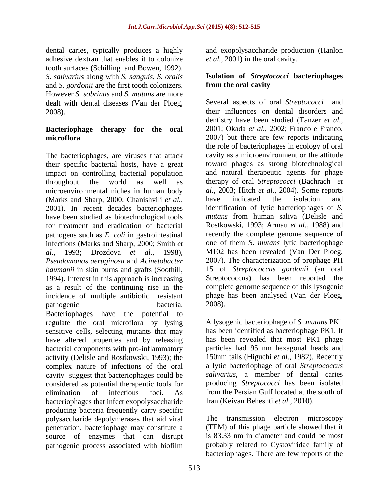dental caries, typically produces a highly and exopolysaccharide production (Hanlon adhesive dextran that enables it to colonize tooth surfaces (Schilling and Bowen, 1992). *S. salivarius* along with *S. sanguis, S. oralis* **Isolation of** *Streptococci* **bacteriophages**  and *S. gordonii* are the first tooth colonizers. However *S. sobrinus* and *S. mutans* are more dealt with dental diseases (Van der Ploeg,

# **microflora** 2007) but there are few reports indicating

The bacteriophages, are viruses that attack their specific bacterial hosts, have a great impact on controlling bacterial population (Marks and Sharp, 2000; Chanishvili *et al.,* 2001). In recent decades bacteriophages have been studied as biotechnological tools for treatment and eradication of bacterial pathogens such as *E. coli* in gastrointestinal infections (Marks and Sharp, 2000; Smith *et Pseudomonas aeruginosa* and *Acinetobacter*  as a result of the continuing rise in the complete genome sequence of this lysogenic<br>incidence of multiple antibiotic –resistant phage has been analysed (Van der Ploeg, incidence of multiple antibiotic --resistant phage<br>pathogenic bacteria. 2008). pathogenic bacteria. 2008). Bacteriophages have the potential to regulate the oral microflora by lysing sensitive cells, selecting mutants that may have altered properties and by releasing bacterial components with pro-inflammatory complex nature of infections of the oral cavity suggest that bacteriophages could be considered as potential therapeutic tools for bacteriophages that infect exopolysaccharide Iran (Keivan Beheshti et al., 2010). producing bacteria frequently carry specific polysaccharide depolymerases that aid viral penetration, bacteriophage may constitute a (TEM) of this phage particle showed that it source of enzymes that can disrupt

*et al.,* 2001) in the oral cavity.

# **from the oral cavity**

2008). their influences on dental disorders and **Bacteriophage therapy for the oral** 2001; Okada *et al.*, 2002; Franco e Franco, throughout the world as well as therapy of oral *Streptococci* (Bachrach *et*  microenvironmental niches in human body *al.,* 2003; Hitch *et al.,* 2004). Some reports *al.,* 1993; Drozdova *et al.,* 1998), M102 has been revealed (Van Der Ploeg, *baumanii* in skin burns and grafts (Soothill, 15 of *Streptococcus gordonii* (an oral 1994). Interest in this approach is increasing Streptococcus) has been reported the Several aspects of oral *Streptococci* and dentistry have been studied (Tanzer *et al.,* 2001; Okada *et al.,* 2002; Franco <sup>e</sup> Franco, 2007) but there are few reports indicating the role of bacteriophages in ecology of oral cavity as a microenvironment or the attitude toward phages as strong biotechnological and natural therapeutic agents for phage have indicated the isolation and identification of lytic bacteriophages of *S. mutans* from human saliva (Delisle and Rostkowski, 1993; Armau *et al.,* 1988) and recently the complete genome sequence of one of them *S. mutans* lytic bacteriophage 2007). The characterization of prophage PH 15 of *Streptococcus gordonii* (an oral Streptococcus) has been reported the complete genome sequence of this lysogenic phage has been analysed (Van der Ploeg, 2008).

activity (Delisle and Rostkowski, 1993); the 150nm tails (Higuchi *et al.,* 1982). Recently elimination of infectious foci. As from the Persian Gulf located at the south of A lysogenic bacteriophage of *S. mutans* PK1 has been identified as bacteriophage PK1. It has been revealed that most PK1 phage particles had 95 nm hexagonal heads and a lytic bacteriophage of oral *Streptococcus salivarius*, a member of dental caries producing *Streptococci* has been isolated

pathogenic process associated with biofilm Iran (Keivan Beheshti *et al.*, 2010).<br>The transmission electron microscopy is 83.33 nm in diameter and could be most probably related to Cystoviridae family of bacteriophages. There are few reports of the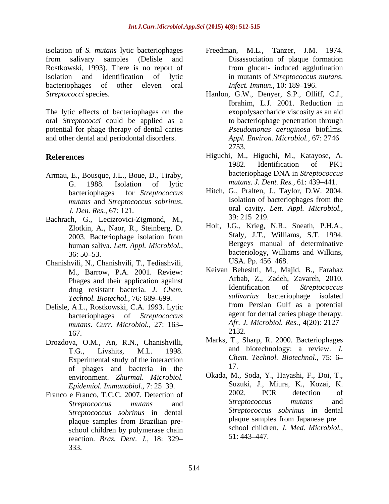isolation of *S. mutans* lytic bacteriophages from salivary samples (Delisle and Disassociation of plaque formation Rostkowski, 1993). There is no report of isolation and identification of lytic in mutants of *Streptococcus mutans*. bacteriophages of other eleven oral *Infect. Immun.*, 10:189–196. *Streptococci* species. Hanlon, G.W., Denyer, S.P., Olliff, C.J.,

The lytic effects of bacteriophages on the oral *Streptococci* could be applied as a potential for phage therapy of dental caries and other dental and periodontal disorders.

- Armau, E., Bousque, J.L., Boue, D., Tiraby, G. 1988. Isolation of lytic *mutans. J. Dent. Res.*, 61: 439–441.
- Bachrach, G., Lecizrovici-Zigmond, M., 39: 215–219.<br>Zlotkin, A., Naor, R., Steinberg, D. Holt, J.G., Krieg, N.R., Sneath, P.H.A., 2003. Bacteriophage isolation from Staly, J.T., Williams, S.T. 1994. human saliva. *Lett. Appl. Microbiol.,*
- Chanishvili, N., Chanishvili, T., Tediashvili, M., Barrow, P.A. 2001. Review: drug resistant bacteria. *J. Chem.*
- Delisle, A.L., Rostkowski, C.A. 1993. Lytic bacteriophages of *Streptococcus mutans. Curr. Microbiol.,* 27: 163  $167.$  2132.
- Drozdova, O.M., An, R.N., Chanishvilli, Experimental study of the interaction  $\frac{Ch}{C}$  of the interaction in the 17. of phages and bacteria in the
- Franco e Franco, T.C.C. 2007. Detection of 2002. PCR detection of the streptococcus mutans and the detection of the streptococcus mutans and school children by polymerase chain<br>reaction  $B_{R27}$ , Dant,  $I = 18:329$ ,  $51:443-447$ . reaction. *Braz. Dent. J.,* 18: 329 333.
- Freedman, M.L., Tanzer, J.M. 1974. from glucan- induced agglutination *Infect. Immun.,* 10: 189–196.
- Ibrahim, L.J. 2001. Reduction in exopolysaccharide viscosity as an aid to bacteriophage penetration through *Pseudomonas aeruginosa* biofilms. *Appl. Environ. Microbiol.,* 67: 2746 2753.
- **References** Higuchi, M., Higuchi, M., Katayose, A. 1982. Identification of PK1 bacteriophage DNA in *Streptococcus mutans. J. Dent. Res.,* 61: 439-441.
	- bacteriophages for *Streptococcus*  Hitch, G., Pralten, J., Taylor, D.W. 2004. *mutans* and *Streptococcus sobrinus*. *J. Den. Res.,* 67: 121. oral cavity. *Lett. Appl. Microbiol.,* Isolation of bacteriophages from the 39: 215 219.
	- 36: 50–53. bacteriology, Williams and Wilkins, Holt, J.G., Krieg, N.R., Sneath, P.H.A., Staly, J.T., Williams, S.T. 1994. Bergeys manual of determinative bacteriology, Williams and Wilkins, USA. Pp. 456–468.
	- Phages and their application against<br>drug resistant bacteria *I Chem* Mentification of *Streptococcus Technol. Biotechol., 76: 689–699.*<br>A L. Rostkowski C.A. 1993 Lytic from Persian Gulf as a potential Keivan Beheshti, M., Majid, B., Farahaz Arbab, Z., Zadeh, Zavareh, 2010. Identification of *Streptococcus salivarius* bacteriophage isolated from Persian Gulf as a potential agent for dental caries phage therapy. *Afr. J. Microbiol. Res.,* 4(20): 2127 2132.
	- T.G., Livshits, M.L. 1998. and biotechnology: a review. *J.*  Marks, T., Sharp, R. 2000. Bacteriophages *Chem. Technol. Biotechnol.,* 75: 6 17.
	- environment. *Zhurmal. Microbiol.* Chada, M., Soda, Y., Hayashi, F., Doi, T., Fordeniol Immunobiol 7: 25–39 Suzuki, J., Miura, K., Kozai, K. *Epidemiol. Immunobiol.,* 7: 25–39. Suzuki, J., Miura, K., Kozai, K.<br>e France T.C.C. 2007. Detection of 2002. PCR detection of *Streptococcus mutans* and *Streptococcus sobrinus* in dental *Streptococcus sobrinus* in dental *Streptococcus sobrinus* in dental plaque samples from Japanese pre plaque samples from Brazilian pre-<br>plaque samples from 1 apanese pre Okada, M., Soda, Y., Hayashi, F., Doi, T., 2002. PCR detection of *Streptococcus mutans* and *Streptococcus sobrinus* in dental plaque samples from Japanese pre school children. *J. Med. Microbiol.,* 51: 443 447.